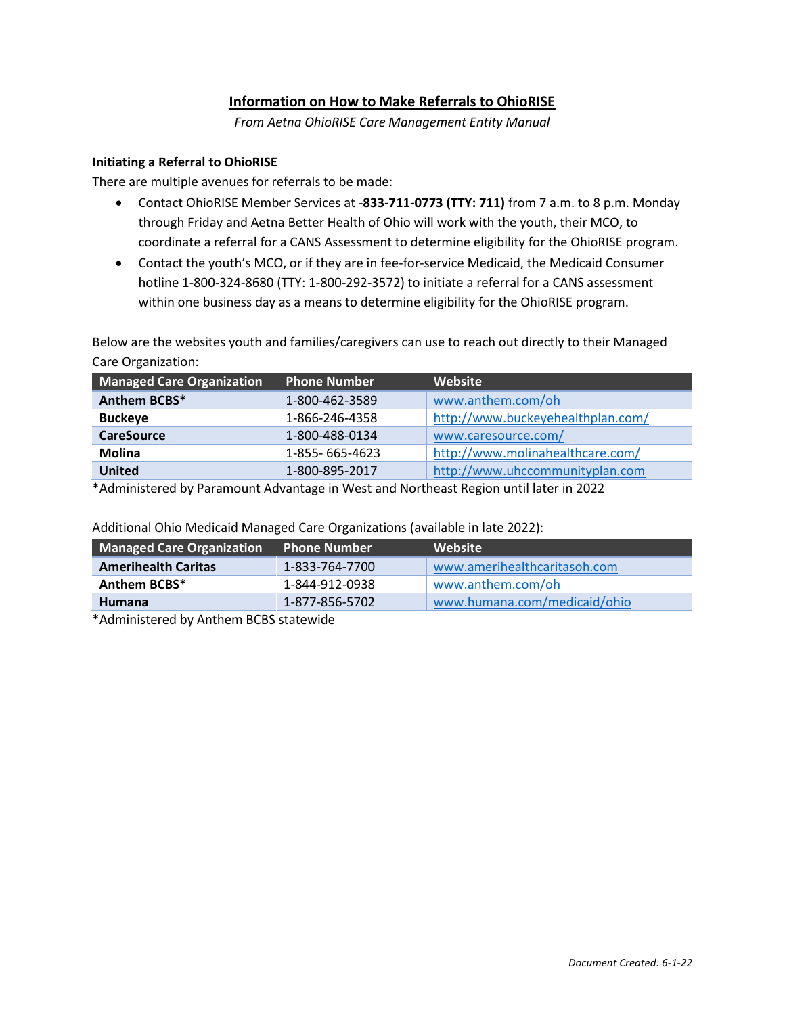# **Information on How to Make Referrals to OhioRISE**

*From Aetna OhioRISE Care Management Entity Manual*

## **Initiating a Referral to OhioRISE**

There are multiple avenues for referrals to be made:

- Contact OhioRISE Member Services at -**833-711-0773 (TTY: 711)** from 7 a.m. to 8 p.m. Monday through Friday and Aetna Better Health of Ohio will work with the youth, their MCO, to coordinate a referral for a CANS Assessment to determine eligibility for the OhioRISE program.
- Contact the youth's MCO, or if they are in fee-for-service Medicaid, the Medicaid Consumer hotline 1-800-324-8680 (TTY: 1-800-292-3572) to initiate a referral for a CANS assessment within one business day as a means to determine eligibility for the OhioRISE program.

Below are the websites youth and families/caregivers can use to reach out directly to their Managed Care Organization:

| <b>Managed Care Organization</b> | <b>Phone Number</b> | Website                           |
|----------------------------------|---------------------|-----------------------------------|
| Anthem BCBS*                     | 1-800-462-3589      | www.anthem.com/oh                 |
| <b>Buckeye</b>                   | 1-866-246-4358      | http://www.buckeyehealthplan.com/ |
| <b>CareSource</b>                | 1-800-488-0134      | www.caresource.com/               |
| <b>Molina</b>                    | 1-855-665-4623      | http://www.molinahealthcare.com/  |
| <b>United</b>                    | 1-800-895-2017      | http://www.uhccommunityplan.com   |

\*Administered by Paramount Advantage in West and Northeast Region until later in 2022

| <b>Managed Care Organization</b> | <b>Phone Number</b> | <b>Website</b>               |
|----------------------------------|---------------------|------------------------------|
| <b>Amerihealth Caritas</b>       | 1-833-764-7700      | www.amerihealthcaritasoh.com |
| Anthem BCBS*                     | 1-844-912-0938      | www.anthem.com/oh            |
| <b>Humana</b>                    | 1-877-856-5702      | www.humana.com/medicaid/ohio |

Additional Ohio Medicaid Managed Care Organizations (available in late 2022):

\*Administered by Anthem BCBS statewide